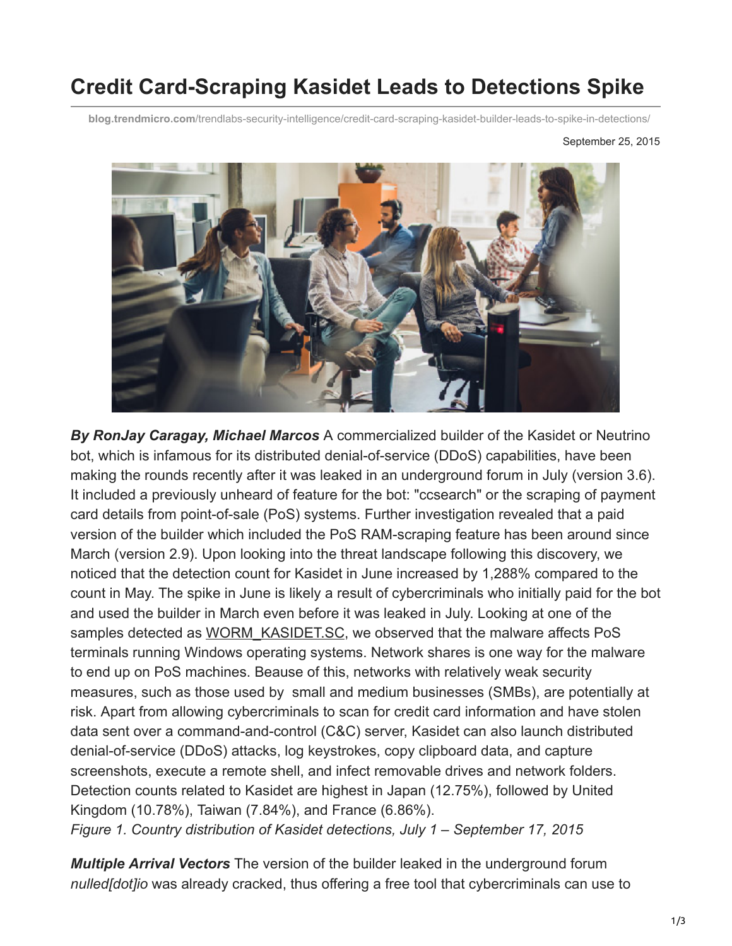## **Credit Card-Scraping Kasidet Leads to Detections Spike**

**blog.trendmicro.com**[/trendlabs-security-intelligence/credit-card-scraping-kasidet-builder-leads-to-spike-in-detections/](http://blog.trendmicro.com/trendlabs-security-intelligence/credit-card-scraping-kasidet-builder-leads-to-spike-in-detections/)

September 25, 2015



*By RonJay Caragay, Michael Marcos* A commercialized builder of the Kasidet or Neutrino bot, which is infamous for its distributed denial-of-service (DDoS) capabilities, have been making the rounds recently after it was leaked in an underground forum in July (version 3.6). It included a previously unheard of feature for the bot: "ccsearch" or the scraping of payment card details from point-of-sale (PoS) systems. Further investigation revealed that a paid version of the builder which included the PoS RAM-scraping feature has been around since March (version 2.9). Upon looking into the threat landscape following this discovery, we noticed that the detection count for Kasidet in June increased by 1,288% compared to the count in May. The spike in June is likely a result of cybercriminals who initially paid for the bot and used the builder in March even before it was leaked in July. Looking at one of the samples detected as [WORM\\_KASIDET.SC,](http://www.trendmicro.com.my/vinfo/my/threat-encyclopedia/malware/WORM_KASIDET.SC) we observed that the malware affects PoS terminals running Windows operating systems. Network shares is one way for the malware to end up on PoS machines. Beause of this, networks with relatively weak security measures, such as those used by small and medium businesses (SMBs), are potentially at risk. Apart from allowing cybercriminals to scan for credit card information and have stolen data sent over a command-and-control (C&C) server, Kasidet can also launch distributed denial-of-service (DDoS) attacks, log keystrokes, copy clipboard data, and capture screenshots, execute a remote shell, and infect removable drives and network folders. Detection counts related to Kasidet are highest in Japan (12.75%), followed by United Kingdom (10.78%), Taiwan (7.84%), and France (6.86%). *Figure 1. Country distribution of Kasidet detections, July 1 – September 17, 2015*

*Multiple Arrival Vectors* The version of the builder leaked in the underground forum *nulled[dot]io* was already cracked, thus offering a free tool that cybercriminals can use to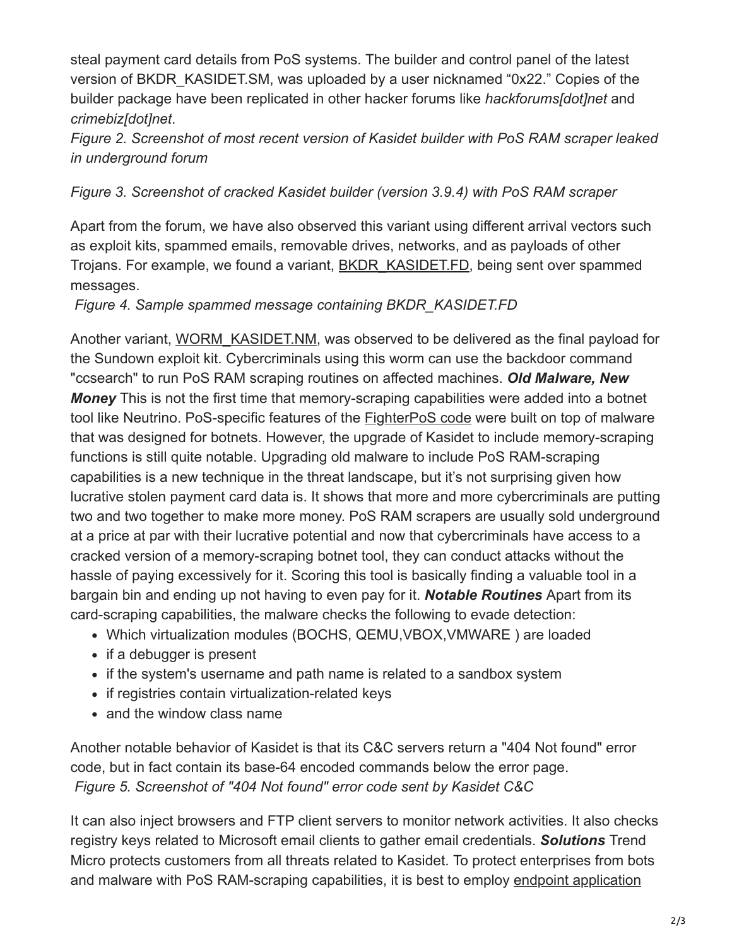steal payment card details from PoS systems. The builder and control panel of the latest version of BKDR\_KASIDET.SM, was uploaded by a user nicknamed "0x22." Copies of the builder package have been replicated in other hacker forums like *hackforums[dot]net* and *crimebiz[dot]net*.

*Figure 2. Screenshot of most recent version of Kasidet builder with PoS RAM scraper leaked in underground forum*

## *Figure 3. Screenshot of cracked Kasidet builder (version 3.9.4) with PoS RAM scraper*

Apart from the forum, we have also observed this variant using different arrival vectors such as exploit kits, spammed emails, removable drives, networks, and as payloads of other Trojans. For example, we found a variant, [BKDR\\_KASIDET.FD,](http://www.trendmicro.com/vinfo/us/threat-encyclopedia/malware/bkdr_kasidet.fd) being sent over spammed messages.

*Figure 4. Sample spammed message containing BKDR\_KASIDET.FD*

Another variant, [WORM\\_KASIDET.NM](http://www.trendmicro.com/vinfo/us/threat-encyclopedia/malware/WORM_KASIDET.NM), was observed to be delivered as the final payload for the Sundown exploit kit. Cybercriminals using this worm can use the backdoor command "ccsearch" to run PoS RAM scraping routines on affected machines. *Old Malware, New Money* This is not the first time that memory-scraping capabilities were added into a botnet tool like Neutrino. PoS-specific features of the [FighterPoS code](http://www.trendmicro.com.ph/vinfo/ph/security/news/cybercrime-and-digital-threats/fighterpos-one-man-pos-malware-campaign) were built on top of malware that was designed for botnets. However, the upgrade of Kasidet to include memory-scraping functions is still quite notable. Upgrading old malware to include PoS RAM-scraping capabilities is a new technique in the threat landscape, but it's not surprising given how lucrative stolen payment card data is. It shows that more and more cybercriminals are putting two and two together to make more money. PoS RAM scrapers are usually sold underground at a price at par with their lucrative potential and now that cybercriminals have access to a cracked version of a memory-scraping botnet tool, they can conduct attacks without the hassle of paying excessively for it. Scoring this tool is basically finding a valuable tool in a bargain bin and ending up not having to even pay for it. *Notable Routines* Apart from its card-scraping capabilities, the malware checks the following to evade detection:

- Which virtualization modules (BOCHS, QEMU,VBOX,VMWARE ) are loaded
- if a debugger is present
- if the system's username and path name is related to a sandbox system
- if registries contain virtualization-related keys
- and the window class name

Another notable behavior of Kasidet is that its C&C servers return a "404 Not found" error code, but in fact contain its base-64 encoded commands below the error page. *Figure 5. Screenshot of "404 Not found" error code sent by Kasidet C&C*

It can also inject browsers and FTP client servers to monitor network activities. It also checks registry keys related to Microsoft email clients to gather email credentials. *Solutions* Trend Micro protects customers from all threats related to Kasidet. To protect enterprises from bots [and malware with PoS RAM-scraping capabilities, it is best to employ endpoint application](http://www.trendmicro.com/us/enterprise/product-security/endpoint-application-control/pos-system-security/app-whitelisting/index.html)